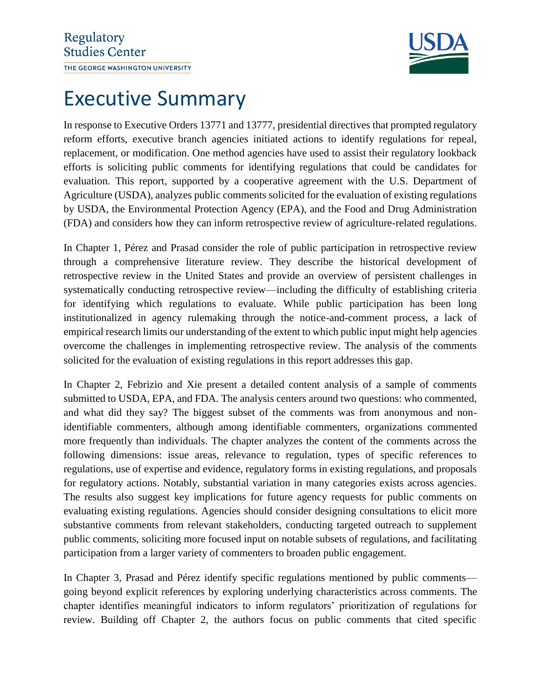

## Executive Summary

In response to Executive Orders 13771 and 13777, presidential directives that prompted regulatory reform efforts, executive branch agencies initiated actions to identify regulations for repeal, replacement, or modification. One method agencies have used to assist their regulatory lookback efforts is soliciting public comments for identifying regulations that could be candidates for evaluation. This report, supported by a cooperative agreement with the U.S. Department of Agriculture (USDA), analyzes public comments solicited for the evaluation of existing regulations by USDA, the Environmental Protection Agency (EPA), and the Food and Drug Administration (FDA) and considers how they can inform retrospective review of agriculture-related regulations.

In Chapter 1, Pérez and Prasad consider the role of public participation in retrospective review through a comprehensive literature review. They describe the historical development of retrospective review in the United States and provide an overview of persistent challenges in systematically conducting retrospective review—including the difficulty of establishing criteria for identifying which regulations to evaluate. While public participation has been long institutionalized in agency rulemaking through the notice-and-comment process, a lack of empirical research limits our understanding of the extent to which public input might help agencies overcome the challenges in implementing retrospective review. The analysis of the comments solicited for the evaluation of existing regulations in this report addresses this gap.

In Chapter 2, Febrizio and Xie present a detailed content analysis of a sample of comments submitted to USDA, EPA, and FDA. The analysis centers around two questions: who commented, and what did they say? The biggest subset of the comments was from anonymous and nonidentifiable commenters, although among identifiable commenters, organizations commented more frequently than individuals. The chapter analyzes the content of the comments across the following dimensions: issue areas, relevance to regulation, types of specific references to regulations, use of expertise and evidence, regulatory forms in existing regulations, and proposals for regulatory actions. Notably, substantial variation in many categories exists across agencies. The results also suggest key implications for future agency requests for public comments on evaluating existing regulations. Agencies should consider designing consultations to elicit more substantive comments from relevant stakeholders, conducting targeted outreach to supplement public comments, soliciting more focused input on notable subsets of regulations, and facilitating participation from a larger variety of commenters to broaden public engagement.

In Chapter 3, Prasad and Pérez identify specific regulations mentioned by public comments going beyond explicit references by exploring underlying characteristics across comments. The chapter identifies meaningful indicators to inform regulators' prioritization of regulations for review. Building off Chapter 2, the authors focus on public comments that cited specific